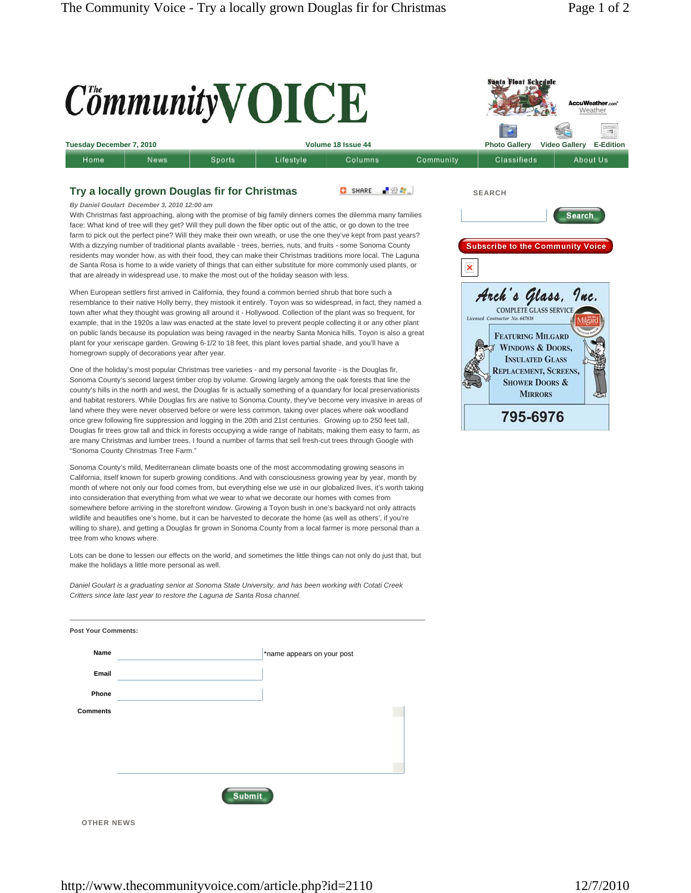**Santa Float Schedule** 

## $C^{\mathit{t}}$ mmunity $\mathbf{V}$ **OICE** Weather ÷, **Tuesday December 7, 2010 Volume 18 Issue 44 Photo Gallery Video Gallery E-Edition** Sports Lifestyle Community Classifieds About Us Home News Columns **Try a locally grown Douglas fir for Christmas** SHARE FOR **SEARCH** *By Daniel Goulart December 3, 2010 12:00 am* With Christmas fast approaching, along with the promise of big family dinners comes the dilemma many families Search face: What kind of tree will they get? Will they pull down the fiber optic out of the attic, or go down to the tree farm to pick out the perfect pine? Will they make their own wreath, or use the one they've kept from past years? With a dizzying number of traditional plants available - trees, berries, nuts, and fruits - some Sonoma County **Subscribe to the Community Voice** residents may wonder how, as with their food, they can make their Christmas traditions more local. The Laguna de Santa Rosa is home to a wide variety of things that can either substitute for more commonly used plants, or × that are already in widespread use, to make the most out of the holiday season with less. Arch's Glass. Inc. When European settlers first arrived in California, they found a common berried shrub that bore such a resemblance to their native Holly berry, they mistook it entirely. Toyon was so widespread, in fact, they named a town after what they thought was growing all around it - Hollywood. Collection of the plant was so frequent, for example, that in the 1920s a law was enacted at the state level to prevent people collecting it or any other plant on public lands because its population was being ravaged in the nearby Santa Monica hills. Toyon is also a great **FEATURING MILGARD** plant for your xeriscape garden. Growing 6-1/2 to 18 feet, this plant loves partial shade, and you'll have a **WINDOWS & DOORS,** homegrown supply of decorations year after year. **INSULATED GLASS** One of the holiday's most popular Christmas tree varieties - and my personal favorite - is the Douglas fir, REPLACEMENT, SCREENS, Sonoma County's second largest timber crop by volume. Growing largely among the oak forests that line the **SHOWER DOORS &** county's hills in the north and west, the Douglas fir is actually something of a quandary for local preservationists **MIRRORS** and habitat restorers. While Douglas firs are native to Sonoma County, they've become very invasive in areas of land where they were never observed before or were less common, taking over places where oak woodland 795-6976 once grew following fire suppression and logging in the 20th and 21st centuries. Growing up to 250 feet tall, Douglas fir trees grow tall and thick in forests occupying a wide range of habitats, making them easy to farm, as are many Christmas and lumber trees. I found a number of farms that sell fresh-cut trees through Google with "Sonoma County Christmas Tree Farm." Sonoma County's mild, Mediterranean climate boasts one of the most accommodating growing seasons in California, itself known for superb growing conditions. And with consciousness growing year by year, month by month of where not only our food comes from, but everything else we use in our globalized lives, it's worth taking into consideration that everything from what we wear to what we decorate our homes with comes from somewhere before arriving in the storefront window. Growing a Toyon bush in one's backyard not only attracts wildlife and beautifies one's home, but it can be harvested to decorate the home (as well as others', if you're willing to share), and getting a Douglas fir grown in Sonoma County from a local farmer is more personal than a tree from who knows where. Lots can be done to lessen our effects on the world, and sometimes the little things can not only do just that, but make the holidays a little more personal as well. *Daniel Goulart is a graduating senior at Sonoma State University, and has been working with Cotati Creek Critters since late last year to restore the Laguna de Santa Rosa channel.* **Post Your Comments: Name** \*name appears on your post **Email Phone Comments**  Submit

**OTHER NEWS**